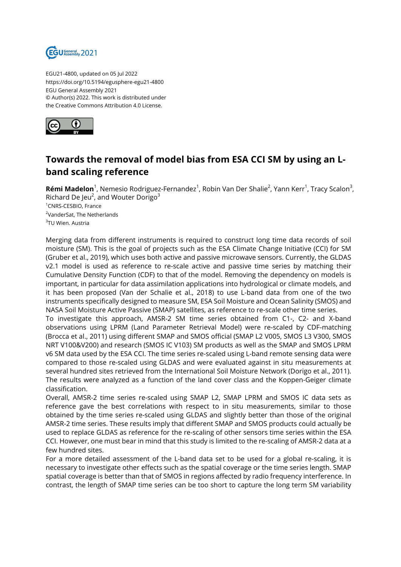

EGU21-4800, updated on 05 Jul 2022 https://doi.org/10.5194/egusphere-egu21-4800 EGU General Assembly 2021 © Author(s) 2022. This work is distributed under the Creative Commons Attribution 4.0 License.



## **Towards the removal of model bias from ESA CCI SM by using an Lband scaling reference**

**Rémi Madelon**<sup>1</sup>, Nemesio Rodriguez-Fernandez<sup>1</sup>, Robin Van Der Shalie<sup>2</sup>, Yann Kerr<sup>1</sup>, Tracy Scalon<sup>3</sup>, Richard De Jeu<sup>2</sup>, and Wouter Dorigo $^3$ <sup>1</sup>CNRS-CESBIO, France <sup>2</sup>VanderSat, The Netherlands <sup>3</sup>TU Wien. Austria

Merging data from different instruments is required to construct long time data records of soil moisture (SM). This is the goal of projects such as the ESA Climate Change Initiative (CCI) for SM (Gruber et al., 2019), which uses both active and passive microwave sensors. Currently, the GLDAS v2.1 model is used as reference to re-scale active and passive time series by matching their Cumulative Density Function (CDF) to that of the model. Removing the dependency on models is important, in particular for data assimilation applications into hydrological or climate models, and it has been proposed (Van der Schalie et al., 2018) to use L-band data from one of the two instruments specifically designed to measure SM, ESA Soil Moisture and Ocean Salinity (SMOS) and NASA Soil Moisture Active Passive (SMAP) satellites, as reference to re-scale other time series.

To investigate this approach, AMSR-2 SM time series obtained from C1-, C2- and X-band observations using LPRM (Land Parameter Retrieval Model) were re-scaled by CDF-matching (Brocca et al., 2011) using different SMAP and SMOS official (SMAP L2 V005, SMOS L3 V300, SMOS NRT V100&V200) and research (SMOS IC V103) SM products as well as the SMAP and SMOS LPRM v6 SM data used by the ESA CCI. The time series re-scaled using L-band remote sensing data were compared to those re-scaled using GLDAS and were evaluated against in situ measurements at several hundred sites retrieved from the International Soil Moisture Network (Dorigo et al., 2011). The results were analyzed as a function of the land cover class and the Koppen-Geiger climate classification.

Overall, AMSR-2 time series re-scaled using SMAP L2, SMAP LPRM and SMOS IC data sets as reference gave the best correlations with respect to in situ measurements, similar to those obtained by the time series re-scaled using GLDAS and slightly better than those of the original AMSR-2 time series. These results imply that different SMAP and SMOS products could actually be used to replace GLDAS as reference for the re-scaling of other sensors time series within the ESA CCI. However, one must bear in mind that this study is limited to the re-scaling of AMSR-2 data at a few hundred sites.

For a more detailed assessment of the L-band data set to be used for a global re-scaling, it is necessary to investigate other effects such as the spatial coverage or the time series length. SMAP spatial coverage is better than that of SMOS in regions affected by radio frequency interference. In contrast, the length of SMAP time series can be too short to capture the long term SM variability